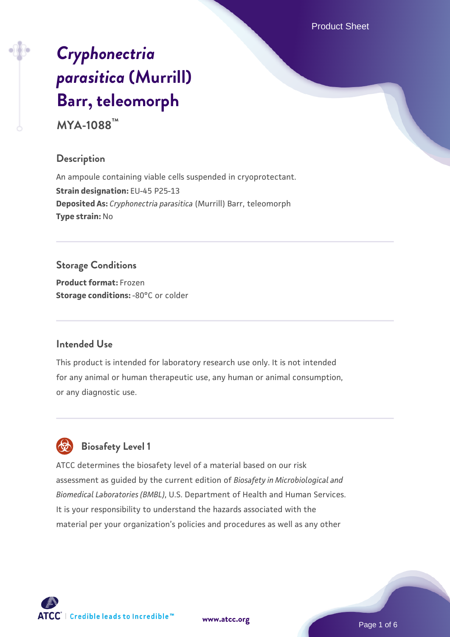Product Sheet

# *[Cryphonectria](https://www.atcc.org/products/mya-1088) [parasitica](https://www.atcc.org/products/mya-1088)* **[\(Murrill\)](https://www.atcc.org/products/mya-1088) [Barr, teleomorph](https://www.atcc.org/products/mya-1088)**

**MYA-1088™**

#### **Description**

An ampoule containing viable cells suspended in cryoprotectant. **Strain designation:** EU-45 P25-13 **Deposited As:** *Cryphonectria parasitica* (Murrill) Barr, teleomorph **Type strain:** No

## **Storage Conditions**

**Product format:** Frozen **Storage conditions: -80°C** or colder

#### **Intended Use**

This product is intended for laboratory research use only. It is not intended for any animal or human therapeutic use, any human or animal consumption, or any diagnostic use.



# **Biosafety Level 1**

ATCC determines the biosafety level of a material based on our risk assessment as guided by the current edition of *Biosafety in Microbiological and Biomedical Laboratories (BMBL)*, U.S. Department of Health and Human Services. It is your responsibility to understand the hazards associated with the material per your organization's policies and procedures as well as any other

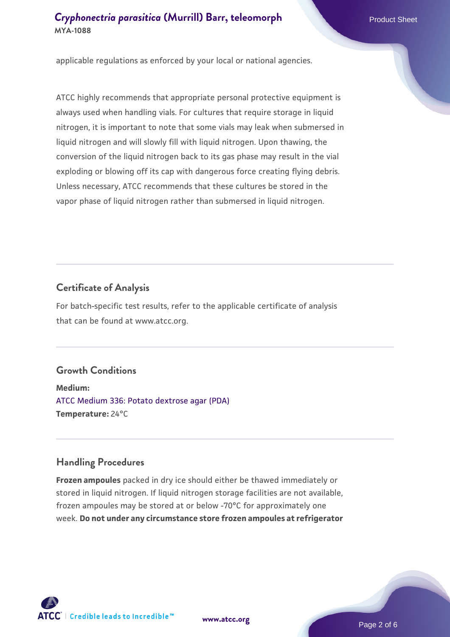applicable regulations as enforced by your local or national agencies.

ATCC highly recommends that appropriate personal protective equipment is always used when handling vials. For cultures that require storage in liquid nitrogen, it is important to note that some vials may leak when submersed in liquid nitrogen and will slowly fill with liquid nitrogen. Upon thawing, the conversion of the liquid nitrogen back to its gas phase may result in the vial exploding or blowing off its cap with dangerous force creating flying debris. Unless necessary, ATCC recommends that these cultures be stored in the vapor phase of liquid nitrogen rather than submersed in liquid nitrogen.

#### **Certificate of Analysis**

For batch-specific test results, refer to the applicable certificate of analysis that can be found at www.atcc.org.

#### **Growth Conditions**

**Medium:**  [ATCC Medium 336: Potato dextrose agar \(PDA\)](https://www.atcc.org/-/media/product-assets/documents/microbial-media-formulations/3/3/6/atcc-medium-336.pdf?rev=d9160ad44d934cd8b65175461abbf3b9) **Temperature:** 24°C

#### **Handling Procedures**

**Frozen ampoules** packed in dry ice should either be thawed immediately or stored in liquid nitrogen. If liquid nitrogen storage facilities are not available, frozen ampoules may be stored at or below -70°C for approximately one week. **Do not under any circumstance store frozen ampoules at refrigerator**



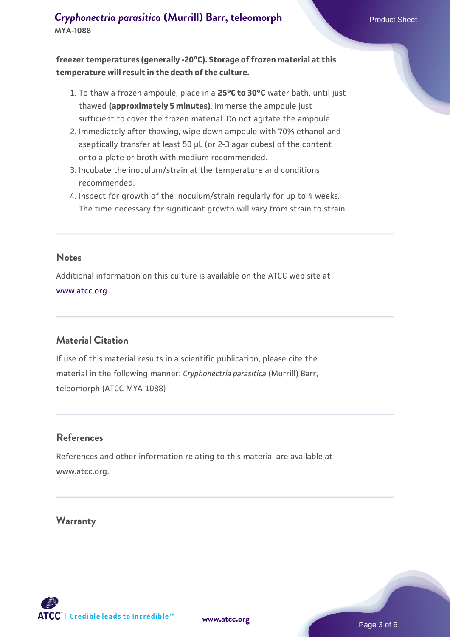**freezer temperatures (generally -20°C). Storage of frozen material at this temperature will result in the death of the culture.**

- 1. To thaw a frozen ampoule, place in a **25°C to 30°C** water bath, until just thawed **(approximately 5 minutes)**. Immerse the ampoule just sufficient to cover the frozen material. Do not agitate the ampoule.
- 2. Immediately after thawing, wipe down ampoule with 70% ethanol and aseptically transfer at least 50 µL (or 2-3 agar cubes) of the content onto a plate or broth with medium recommended.
- 3. Incubate the inoculum/strain at the temperature and conditions recommended.
- 4. Inspect for growth of the inoculum/strain regularly for up to 4 weeks. The time necessary for significant growth will vary from strain to strain.

#### **Notes**

Additional information on this culture is available on the ATCC web site at [www.atcc.org.](http://www.atcc.org/)

#### **Material Citation**

If use of this material results in a scientific publication, please cite the material in the following manner: *Cryphonectria parasitica* (Murrill) Barr, teleomorph (ATCC MYA-1088)

#### **References**

References and other information relating to this material are available at www.atcc.org.

#### **Warranty**

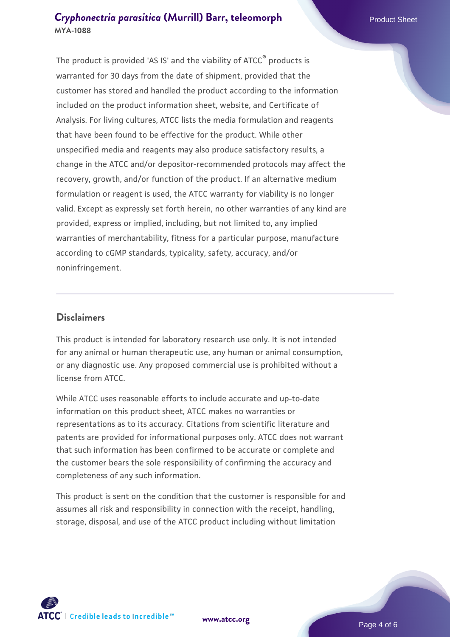The product is provided 'AS IS' and the viability of ATCC® products is warranted for 30 days from the date of shipment, provided that the customer has stored and handled the product according to the information included on the product information sheet, website, and Certificate of Analysis. For living cultures, ATCC lists the media formulation and reagents that have been found to be effective for the product. While other unspecified media and reagents may also produce satisfactory results, a change in the ATCC and/or depositor-recommended protocols may affect the recovery, growth, and/or function of the product. If an alternative medium formulation or reagent is used, the ATCC warranty for viability is no longer valid. Except as expressly set forth herein, no other warranties of any kind are provided, express or implied, including, but not limited to, any implied warranties of merchantability, fitness for a particular purpose, manufacture according to cGMP standards, typicality, safety, accuracy, and/or noninfringement.

#### **Disclaimers**

This product is intended for laboratory research use only. It is not intended for any animal or human therapeutic use, any human or animal consumption, or any diagnostic use. Any proposed commercial use is prohibited without a license from ATCC.

While ATCC uses reasonable efforts to include accurate and up-to-date information on this product sheet, ATCC makes no warranties or representations as to its accuracy. Citations from scientific literature and patents are provided for informational purposes only. ATCC does not warrant that such information has been confirmed to be accurate or complete and the customer bears the sole responsibility of confirming the accuracy and completeness of any such information.

This product is sent on the condition that the customer is responsible for and assumes all risk and responsibility in connection with the receipt, handling, storage, disposal, and use of the ATCC product including without limitation



**[www.atcc.org](http://www.atcc.org)**

Page 4 of 6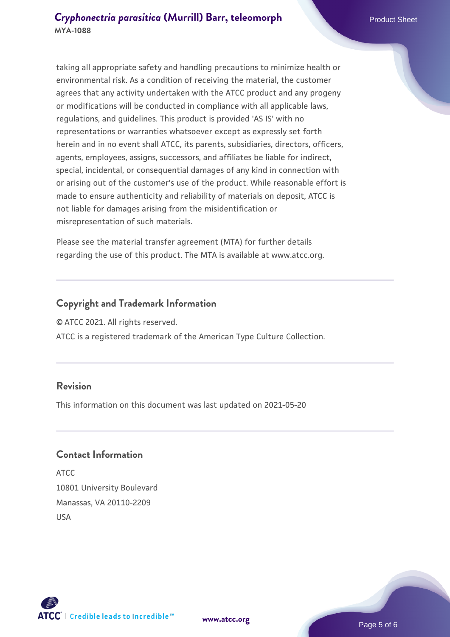taking all appropriate safety and handling precautions to minimize health or environmental risk. As a condition of receiving the material, the customer agrees that any activity undertaken with the ATCC product and any progeny or modifications will be conducted in compliance with all applicable laws, regulations, and guidelines. This product is provided 'AS IS' with no representations or warranties whatsoever except as expressly set forth herein and in no event shall ATCC, its parents, subsidiaries, directors, officers, agents, employees, assigns, successors, and affiliates be liable for indirect, special, incidental, or consequential damages of any kind in connection with or arising out of the customer's use of the product. While reasonable effort is made to ensure authenticity and reliability of materials on deposit, ATCC is not liable for damages arising from the misidentification or misrepresentation of such materials.

Please see the material transfer agreement (MTA) for further details regarding the use of this product. The MTA is available at www.atcc.org.

#### **Copyright and Trademark Information**

© ATCC 2021. All rights reserved.

ATCC is a registered trademark of the American Type Culture Collection.

#### **Revision**

This information on this document was last updated on 2021-05-20

#### **Contact Information**

ATCC 10801 University Boulevard Manassas, VA 20110-2209 USA